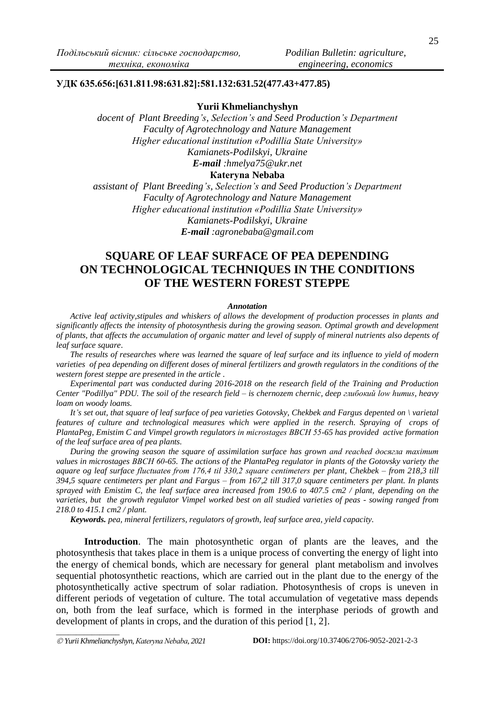## **УДК 635.656:[631.811.98:631.82]:581.132:631.52(477.43+477.85)**

### **Yurii Khmelianchyshyn**

*docent of Plant Breeding's, Selection's and Seed Production's Department Faculty of Agrotechnology and Nature Management Higher educational institution «Podillia State University» Kamianets-Podilskyi, Ukraine E-mail :hmelya75@ukr.net*

## **Кateryna Nebaba**

*assistant of Plant Breeding's, Selection's and Seed Production's Department Faculty of Agrotechnology and Nature Management Higher educational institution «Podillia State University» Kamianets-Podilskyi, Ukraine E-mail :agronebaba@gmail.com*

# **SQUARE OF LEAF SURFACE OF PEA DEPENDING ON TECHNOLOGICAL TECHNIQUES IN THE CONDITIONS OF THE WESTERN FOREST STEPPE**

#### *Annotation*

*Active leaf activity,stipules and whiskers of allows the development of production processes in plants and significantly affects the intensity of photosynthesis during the growing season. Optimal growth and development of plants, that affects the accumulation of organic matter and level of supply of mineral nutrients also depents of leaf surface square*.

*The results of researches where was learned the square of leaf surface and its influence to yield of modern varieties of pea depending on different doses of mineral fertilizers and growth regulators in the conditions of the western forest steppe are presented in the article .*

*Experimental part was conducted during 2016-2018 on the research field of the Training and Production Center "Podillya" PDU. The soil of the research field – is chernozem chernic, deep глибокий low humus, heavy loam on woody loams.*

*It's set out, that square of leaf surface of pea varieties Gotovsky, Chekbek and Fargus depented on \ varietal features of culture and technological measures which were applied in the reserch. Spraying of crops of PlantaPeg, Emistim C and Vimpel growth regulators in microstages ВВСН 55-65 has provided active formation of the leaf surface area of pea plants.*

*During the growing season the square of assimilation surface has grown and reached досягла maximum values in microstages ВВСН 60-65. The actions of the PlantaPeg regulator in plants of the Gotovsky variety the aquare og leaf surface fluctuateв from 176,4 til 330,2 square centimeters per plant, Chekbek – from 218,3 till 394,5 square centimeters per plant and Fargus – from 167,2 till 317,0 square centimeters per plant. In plants sprayed with Emistim C, the leaf surface area increased from 190.6 to 407.5 cm2 / plant, depending on the varieties, but the growth regulator Vimpel worked best on all studied varieties of peas - sowing ranged from 218.0 to 415.1 cm2 / plant.*

*Keywords. pea, mineral fertilizers, regulators of growth, leaf surface area, yield capacity.*

**Introduction**. The main photosynthetic organ of plants are the leaves, and the photosynthesis that takes place in them is a unique process of converting the energy of light into the energy of chemical bonds, which are necessary for general plant metabolism and involves sequential photosynthetic reactions, which are carried out in the plant due to the energy of the photosynthetically active spectrum of solar radiation. Photosynthesis of crops is uneven in different periods of vegetation of culture. The total accumulation of vegetative mass depends on, both from the leaf surface, which is formed in the interphase periods of growth and development of plants in crops, and the duration of this period [1, 2].

*\_\_\_\_\_\_\_\_\_\_\_\_\_\_\_\_*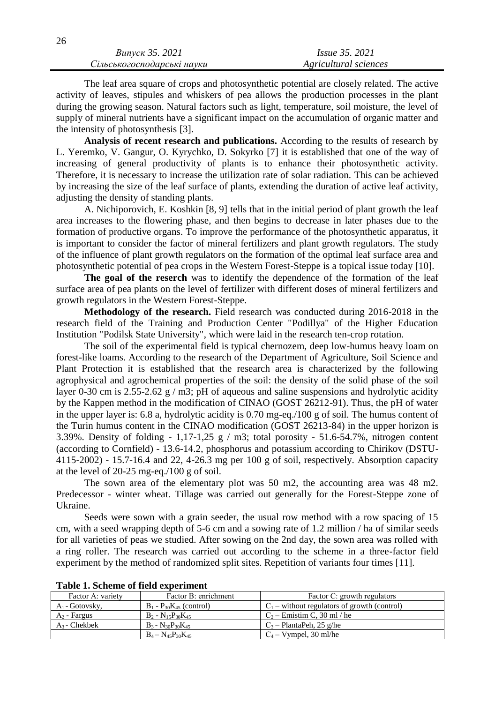| Випуск 35. 2021            | <i>Issue 35, 2021</i> |
|----------------------------|-----------------------|
| Сільськогосподарські науки | Agricultural sciences |

The leaf area square of crops and photosynthetic potential are closely related. The active activity of leaves, stipules and whiskers of pea allows the production processes in the plant during the growing season. Natural factors such as light, temperature, soil moisture, the level of supply of mineral nutrients have a significant impact on the accumulation of organic matter and the intensity of photosynthesis [3].

**Analysis of recent research and publications.** According to the results of research by L. Yeremko, V. Gangur, O. Kyrychko, D. Sokyrko [7] it is established that one of the way of increasing of general productivity of plants is to enhance their photosynthetic activity. Therefore, it is necessary to increase the utilization rate of solar radiation. This can be achieved by increasing the size of the leaf surface of plants, extending the duration of active leaf activity, adjusting the density of standing plants.

A. Nichiporovich, E. Koshkin [8, 9] tells that in the initial period of plant growth the leaf area increases to the flowering phase, and then begins to decrease in later phases due to the formation of productive organs. To improve the performance of the photosynthetic apparatus, it is important to consider the factor of mineral fertilizers and plant growth regulators. The study of the influence of plant growth regulators on the formation of the optimal leaf surface area and photosynthetic potential of pea crops in the Western Forest-Steppe is a topical issue today [10].

**The goal of the reserch** was to identify the dependence of the formation of the leaf surface area of pea plants on the level of fertilizer with different doses of mineral fertilizers and growth regulators in the Western Forest-Steppe.

**Methodology of the research.** Field research was conducted during 2016-2018 in the research field of the Training and Production Center "Podillya" of the Higher Education Institution "Podilsk State University", which were laid in the research ten-crop rotation.

The soil of the experimental field is typical chernozem, deep low-humus heavy loam on forest-like loams. According to the research of the Department of Agriculture, Soil Science and Plant Protection it is established that the research area is characterized by the following agrophysical and agrochemical properties of the soil: the density of the solid phase of the soil layer 0-30 cm is 2.55-2.62 g / m3; pH of aqueous and saline suspensions and hydrolytic acidity by the Kappen method in the modification of CINAO (GOST 26212-91). Thus, the pH of water in the upper layer is: 6.8 a, hydrolytic acidity is 0.70 mg-eq./100 g of soil. The humus content of the Turin humus content in the CINAO modification (GOST 26213-84) in the upper horizon is 3.39%. Density of folding - 1,17-1,25 g / m3; total porosity - 51.6-54.7%, nitrogen content (according to Cornfield) - 13.6-14.2, phosphorus and potassium according to Chirikov (DSTU-4115-2002) - 15.7-16.4 and 22, 4-26.3 mg per 100 g of soil, respectively. Absorption capacity at the level of 20-25 mg-eq./100 g of soil.

The sown area of the elementary plot was 50 m2, the accounting area was 48 m2. Predecessor - winter wheat. Tillage was carried out generally for the Forest-Steppe zone of Ukraine.

Seeds were sown with a grain seeder, the usual row method with a row spacing of 15 cm, with a seed wrapping depth of 5-6 cm and a sowing rate of 1.2 million / ha of similar seeds for all varieties of peas we studied. After sowing on the 2nd day, the sown area was rolled with a ring roller. The research was carried out according to the scheme in a three-factor field experiment by the method of randomized split sites. Repetition of variants four times [11].

| Factor A: variety | Factor B: enrichment           | Factor C: growth regulators                    |  |  |  |
|-------------------|--------------------------------|------------------------------------------------|--|--|--|
| $A_1$ - Gotovsky, | $B_1 - P_{30}K_{45}$ (control) | $C_1$ – without regulators of growth (control) |  |  |  |
| $A_2$ - Fargus    | $B_2 - N_{15}P_{30}K_{45}$     | $C_2$ – Emistim C, 30 ml / he                  |  |  |  |
| $A_3$ - Chekbek   | $B_3 - N_{30}P_{30}K_{45}$     | $C_3$ – PlantaPeh, 25 g/he                     |  |  |  |
|                   | $B_4 - N_{45}P_{30}K_{45}$     | $C_4 - V$ ympel, 30 ml/he                      |  |  |  |

**Table 1. Scheme of field experiment**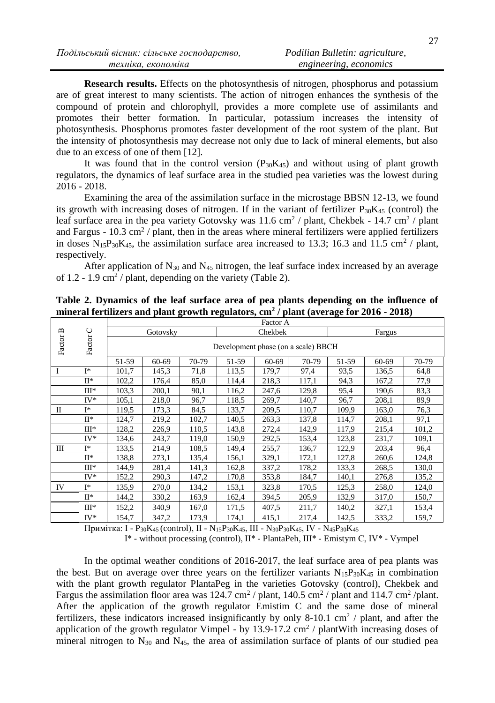**Research results.** Effects on the photosynthesis of nitrogen, phosphorus and potassium are of great interest to many scientists. The action of nitrogen enhances the synthesis of the compound of protein and chlorophyll, provides a more complete use of assimilants and promotes their better formation. In particular, potassium increases the intensity of photosynthesis. Phosphorus promotes faster development of the root system of the plant. But the intensity of photosynthesis may decrease not only due to lack of mineral elements, but also due to an excess of one of them [12].

It was found that in the control version  $(P_{30}K_{45})$  and without using of plant growth regulators, the dynamics of leaf surface area in the studied pea varieties was the lowest during 2016 - 2018.

Examining the area of the assimilation surface in the microstage BBSN 12-13, we found its growth with increasing doses of nitrogen. If in the variant of fertilizer  $P_{30}K_{45}$  (control) the leaf surface area in the pea variety Gotovsky was  $11.6 \text{ cm}^2$  / plant, Chekbek -  $14.7 \text{ cm}^2$  / plant and Fargus -  $10.3 \text{ cm}^2$  / plant, then in the areas where mineral fertilizers were applied fertilizers in doses  $N_{15}P_{30}K_{45}$ , the assimilation surface area increased to 13.3; 16.3 and 11.5 cm<sup>2</sup> / plant, respectively.

After application of  $N_{30}$  and  $N_{45}$  nitrogen, the leaf surface index increased by an average of  $1.2 - 1.9$  cm<sup>2</sup> / plant, depending on the variety (Table 2).

|              |               | Factor A |                                     |         |       |           |       |       |       |       |
|--------------|---------------|----------|-------------------------------------|---------|-------|-----------|-------|-------|-------|-------|
| C            |               | Gotovsky |                                     | Chekbek |       | Fargus    |       |       |       |       |
| Factor B     | <b>Factor</b> |          | Development phase (on a scale) BBCH |         |       |           |       |       |       |       |
|              |               | 51-59    | 60-69                               | 70-79   | 51-59 | $60 - 69$ | 70-79 | 51-59 | 60-69 | 70-79 |
|              | I*            | 101,7    | 145,3                               | 71,8    | 113.5 | 179,7     | 97,4  | 93,5  | 136.5 | 64,8  |
|              | $\Pi^*$       | 102,2    | 176,4                               | 85,0    | 114,4 | 218,3     | 117,1 | 94.3  | 167,2 | 77,9  |
|              | $III*$        | 103,3    | 200,1                               | 90,1    | 116.2 | 247,6     | 129,8 | 95,4  | 190,6 | 83,3  |
|              | $IV^*$        | 105,1    | 218,0                               | 96,7    | 118.5 | 269,7     | 140.7 | 96,7  | 208.1 | 89,9  |
| $\mathbf{I}$ | I*            | 119,5    | 173.3                               | 84,5    | 133.7 | 209,5     | 110.7 | 109,9 | 163,0 | 76,3  |
|              | $\Pi^*$       | 124,7    | 219,2                               | 102,7   | 140.5 | 263,3     | 137,8 | 114,7 | 208,1 | 97,1  |
|              | $III*$        | 128,2    | 226,9                               | 110,5   | 143,8 | 272,4     | 142,9 | 117,9 | 215,4 | 101,2 |
|              | $IV^*$        | 134,6    | 243,7                               | 119,0   | 150.9 | 292,5     | 153,4 | 123,8 | 231,7 | 109,1 |
| Ш            | T*            | 133,5    | 214,9                               | 108.5   | 149,4 | 255,7     | 136.7 | 122,9 | 203,4 | 96,4  |
|              | $\Pi^*$       | 138,8    | 273.1                               | 135,4   | 156,1 | 329,1     | 172,1 | 127,8 | 260,6 | 124,8 |
|              | $III*$        | 144,9    | 281,4                               | 141,3   | 162,8 | 337,2     | 178,2 | 133,3 | 268.5 | 130,0 |
|              | $IV*$         | 152,2    | 290,3                               | 147,2   | 170.8 | 353,8     | 184,7 | 140,1 | 276,8 | 135,2 |
| IV           | $I^*$         | 135,9    | 270,0                               | 134,2   | 153,1 | 323,8     | 170,5 | 125,3 | 258,0 | 124,0 |
|              | $\Pi^*$       | 144,2    | 330,2                               | 163.9   | 162,4 | 394,5     | 205,9 | 132,9 | 317,0 | 150,7 |
|              | $III*$        | 152,2    | 340,9                               | 167,0   | 171,5 | 407,5     | 211,7 | 140,2 | 327,1 | 153,4 |
|              | $IV^*$        | 154,7    | 347,2                               | 173.9   | 174,1 | 415,1     | 217,4 | 142,5 | 333.2 | 159.7 |

# **Table 2. Dynamics of the leaf surface area of pea plants depending on the influence of mineral fertilizers and plant growth regulators, cm<sup>2</sup> / plant (average for 2016 - 2018)**

Примітка: І - P30K45 (control), ІІ - N15P30K45, ІІІ - N30P30K45, ІV - N45P30K<sup>45</sup>

І\* - without processing (control), ІІ\* - PlantaPeh, ІІІ\* - Emistym С, IV\* - Vympel

In the optimal weather conditions of 2016-2017, the leaf surface area of pea plants was the best. But on average over three years on the fertilizer variants  $N_{15}P_{30}K_{45}$  in combination with the plant growth regulator PlantaPeg in the varieties Gotovsky (control), Chekbek and Fargus the assimilation floor area was  $124.7 \text{ cm}^2$  / plant,  $140.5 \text{ cm}^2$  / plant and  $114.7 \text{ cm}^2$  / plant. After the application of the growth regulator Emistim C and the same dose of mineral fertilizers, these indicators increased insignificantly by only 8-10.1 cm<sup>2</sup> / plant, and after the application of the growth regulator Vimpel - by  $13.9$ -17.2 cm<sup>2</sup> / plantWith increasing doses of mineral nitrogen to  $N_{30}$  and  $N_{45}$ , the area of assimilation surface of plants of our studied pea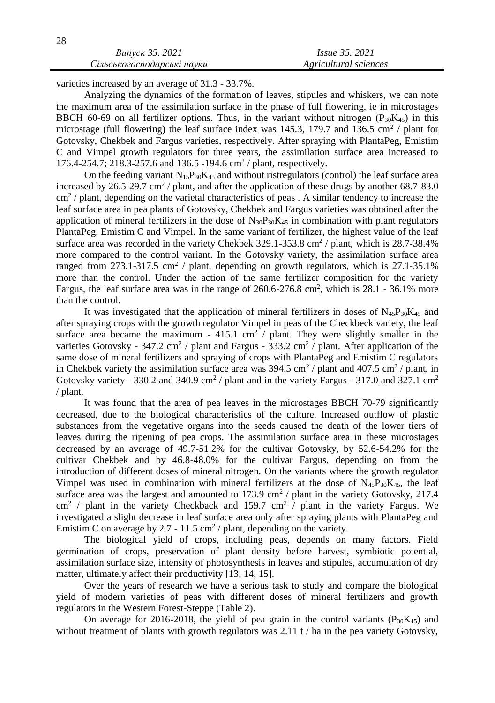varieties increased by an average of 31.3 - 33.7%.

Analyzing the dynamics of the formation of leaves, stipules and whiskers, we can note the maximum area of the assimilation surface in the phase of full flowering, ie in microstages BBCH 60-69 on all fertilizer options. Thus, in the variant without nitrogen  $(P_{30}K_{45})$  in this microstage (full flowering) the leaf surface index was  $145.3$ , 179.7 and  $136.5 \text{ cm}^2$  / plant for Gotovsky, Chekbek and Fargus varieties, respectively. After spraying with PlantaPeg, Emistim C and Vimpel growth regulators for three years, the assimilation surface area increased to 176.4-254.7; 218.3-257.6 and 136.5 -194.6 cm<sup>2</sup> / plant, respectively.

On the feeding variant  $N_{15}P_{30}K_{45}$  and without ristregulators (control) the leaf surface area increased by  $26.5-29.7 \text{ cm}^2$  / plant, and after the application of these drugs by another 68.7-83.0 cm<sup>2</sup> / plant, depending on the varietal characteristics of peas . A similar tendency to increase the leaf surface area in pea plants of Gotovsky, Chekbek and Fargus varieties was obtained after the application of mineral fertilizers in the dose of  $N_{30}P_{30}K_{45}$  in combination with plant regulators PlantaPeg, Emistim C and Vimpel. In the same variant of fertilizer, the highest value of the leaf surface area was recorded in the variety Chekbek  $329.1 - 353.8$  cm<sup>2</sup> / plant, which is  $28.7 - 38.4\%$ more compared to the control variant. In the Gotovsky variety, the assimilation surface area ranged from 273.1-317.5 cm<sup>2</sup> / plant, depending on growth regulators, which is  $27.1$ -35.1% more than the control. Under the action of the same fertilizer composition for the variety Fargus, the leaf surface area was in the range of  $260.6-276.8$  cm<sup>2</sup>, which is  $28.1 - 36.1\%$  more than the control.

It was investigated that the application of mineral fertilizers in doses of  $N_{45}P_{30}K_{45}$  and after spraying crops with the growth regulator Vimpel in peas of the Checkbeck variety, the leaf surface area became the maximum - 415.1 cm<sup>2</sup> / plant. They were slightly smaller in the varieties Gotovsky -  $347.2 \text{ cm}^2$  / plant and Fargus -  $333.2 \text{ cm}^2$  / plant. After application of the same dose of mineral fertilizers and spraying of crops with PlantaPeg and Emistim C regulators in Chekbek variety the assimilation surface area was  $394.5 \text{ cm}^2$  / plant and  $407.5 \text{ cm}^2$  / plant, in Gotovsky variety - 330.2 and 340.9 cm<sup>2</sup> / plant and in the variety Fargus - 317.0 and 327.1 cm<sup>2</sup> / plant.

It was found that the area of pea leaves in the microstages BBCH 70-79 significantly decreased, due to the biological characteristics of the culture. Increased outflow of plastic substances from the vegetative organs into the seeds caused the death of the lower tiers of leaves during the ripening of pea crops. The assimilation surface area in these microstages decreased by an average of 49.7-51.2% for the cultivar Gotovsky, by 52.6-54.2% for the cultivar Chekbek and by 46.8-48.0% for the cultivar Fargus, depending on from the introduction of different doses of mineral nitrogen. On the variants where the growth regulator Vimpel was used in combination with mineral fertilizers at the dose of  $N_{45}P_{30}K_{45}$ , the leaf surface area was the largest and amounted to 173.9 cm<sup>2</sup> / plant in the variety Gotovsky, 217.4  $\text{cm}^2$  / plant in the variety Checkback and 159.7 cm<sup>2</sup> / plant in the variety Fargus. We investigated a slight decrease in leaf surface area only after spraying plants with PlantaPeg and Emistim C on average by 2.7 - 11.5 cm<sup>2</sup> / plant, depending on the variety.

The biological yield of crops, including peas, depends on many factors. Field germination of crops, preservation of plant density before harvest, symbiotic potential, assimilation surface size, intensity of photosynthesis in leaves and stipules, accumulation of dry matter, ultimately affect their productivity [13, 14, 15].

Over the years of research we have a serious task to study and compare the biological yield of modern varieties of peas with different doses of mineral fertilizers and growth regulators in the Western Forest-Steppe (Table 2).

On average for 2016-2018, the yield of pea grain in the control variants  $(P_{30}K_{45})$  and without treatment of plants with growth regulators was  $2.11$  t / ha in the pea variety Gotovsky,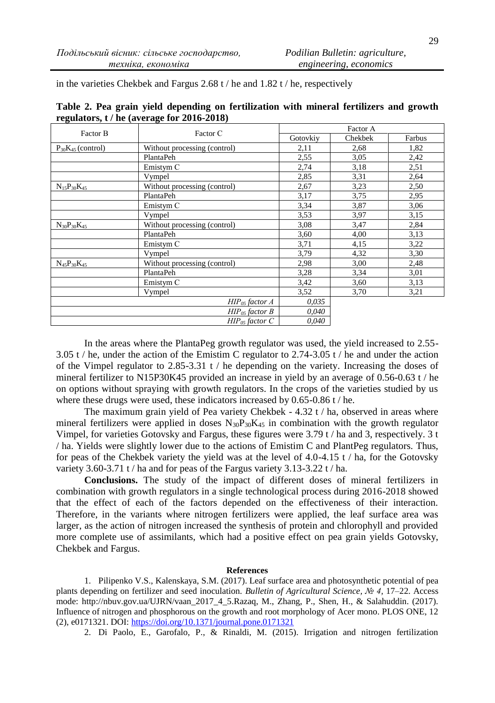in the varieties Chekbek and Fargus 2.68 t / he and 1.82 t / he, respectively

| Factor B                 | Factor C                     | Factor A |         |        |  |
|--------------------------|------------------------------|----------|---------|--------|--|
|                          |                              | Gotovkiy | Chekbek | Farbus |  |
| $P_{30}K_{45}$ (control) | Without processing (control) | 2,11     | 2,68    | 1,82   |  |
|                          | PlantaPeh                    | 2,55     | 3,05    | 2,42   |  |
|                          | Emistym C                    | 2,74     | 3,18    | 2,51   |  |
|                          | Vympel                       | 2,85     | 3,31    | 2,64   |  |
| $N_{15}P_{30}K_{45}$     | Without processing (control) | 2,67     | 3,23    | 2,50   |  |
|                          | PlantaPeh                    | 3,17     | 3,75    | 2,95   |  |
|                          | Emistym C                    | 3,34     | 3,87    | 3,06   |  |
|                          | Vympel                       | 3,53     | 3,97    | 3,15   |  |
| $N_{30}P_{30}K_{45}$     | Without processing (control) | 3,08     | 3,47    | 2,84   |  |
|                          | PlantaPeh                    | 3,60     | 4,00    | 3,13   |  |
|                          | Emistym C                    | 3,71     | 4,15    | 3,22   |  |
|                          | Vympel                       | 3,79     | 4,32    | 3,30   |  |
| $N_{45}P_{30}K_{45}$     | Without processing (control) | 2,98     | 3,00    | 2,48   |  |
|                          | PlantaPeh                    | 3,28     | 3,34    | 3,01   |  |
|                          | Emistym C                    | 3,42     | 3,60    | 3,13   |  |
|                          | Vympel                       | 3.52     | 3,70    | 3,21   |  |
|                          | $HIP_{05}$ factor A          | 0,035    |         |        |  |
|                          | $HIP_{05}$ factor $B$        | 0,040    |         |        |  |
|                          | $HIP_{05}$ factor $C$        | 0,040    |         |        |  |

**Table 2. Pea grain yield depending on fertilization with mineral fertilizers and growth regulators, t / he (average for 2016-2018)**

In the areas where the PlantaPeg growth regulator was used, the yield increased to 2.55- 3.05 t / he, under the action of the Emistim C regulator to 2.74-3.05 t / he and under the action of the Vimpel regulator to 2.85-3.31 t / he depending on the variety. Increasing the doses of mineral fertilizer to N15P30K45 provided an increase in yield by an average of 0.56-0.63 t / he on options without spraying with growth regulators. In the crops of the varieties studied by us where these drugs were used, these indicators increased by 0.65-0.86 t / he.

The maximum grain yield of Pea variety Chekbek - 4.32 t / ha, observed in areas where mineral fertilizers were applied in doses  $N_{30}P_{30}K_{45}$  in combination with the growth regulator Vimpel, for varieties Gotovsky and Fargus, these figures were 3.79 t / ha and 3, respectively. 3 t / ha. Yields were slightly lower due to the actions of Emistim C and PlantPeg regulators. Thus, for peas of the Chekbek variety the yield was at the level of  $4.0\n-4.15$  t / ha, for the Gotovsky variety 3.60-3.71 t / ha and for peas of the Fargus variety 3.13-3.22 t / ha.

**Conclusions.** The study of the impact of different doses of mineral fertilizers in combination with growth regulators in a single technological process during 2016-2018 showed that the effect of each of the factors depended on the effectiveness of their interaction. Therefore, in the variants where nitrogen fertilizers were applied, the leaf surface area was larger, as the action of nitrogen increased the synthesis of protein and chlorophyll and provided more complete use of assimilants, which had a positive effect on pea grain yields Gotovsky, Chekbek and Fargus.

### **References**

1. Pilipenko V.S., Kalenskaya, S.M. (2017). Leaf surface area and photosynthetic potential of pea plants depending on fertilizer and seed inoculation. *Bulletin of Agricultural Science, № 4,* 17–22. Access mode: http://nbuv.gov.ua/UJRN/vaan\_2017\_4\_5.Razaq, M., Zhang, P., Shen, H., & Salahuddin. (2017). Influence of nitrogen and phosphorous on the growth and root morphology of Acer mono. PLOS ONE, 12 (2), e0171321. DOI: <https://doi.org/10.1371/journal.pone.0171321>

2. Di Paolo, E., Garofalo, P., & Rinaldi, M. (2015). Irrigation and nitrogen fertilization